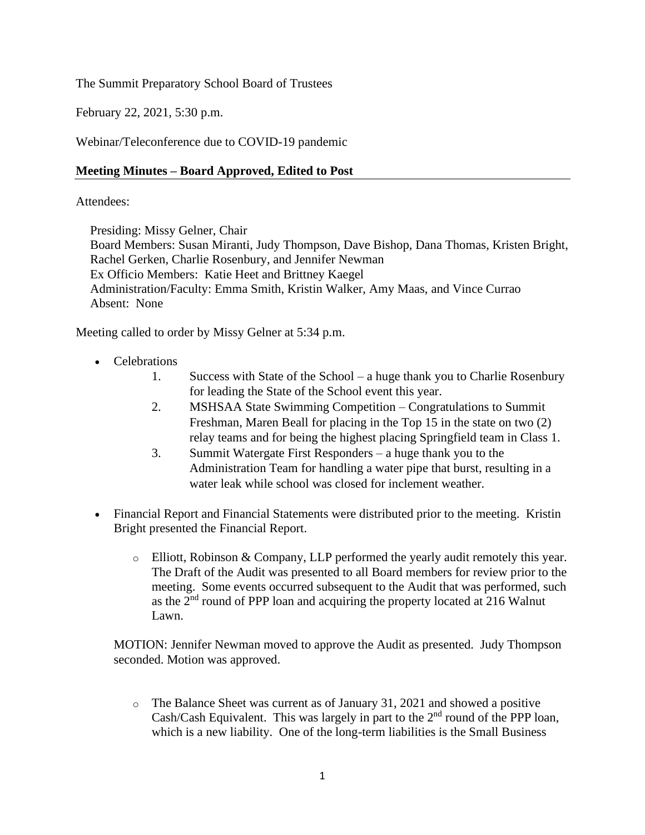The Summit Preparatory School Board of Trustees

February 22, 2021, 5:30 p.m.

Webinar/Teleconference due to COVID-19 pandemic

### **Meeting Minutes – Board Approved, Edited to Post**

#### Attendees:

Presiding: Missy Gelner, Chair

Board Members: Susan Miranti, Judy Thompson, Dave Bishop, Dana Thomas, Kristen Bright, Rachel Gerken, Charlie Rosenbury, and Jennifer Newman Ex Officio Members: Katie Heet and Brittney Kaegel Administration/Faculty: Emma Smith, Kristin Walker, Amy Maas, and Vince Currao Absent: None

Meeting called to order by Missy Gelner at 5:34 p.m.

- Celebrations
	- 1. Success with State of the School a huge thank you to Charlie Rosenbury for leading the State of the School event this year.
	- 2. MSHSAA State Swimming Competition Congratulations to Summit Freshman, Maren Beall for placing in the Top 15 in the state on two (2) relay teams and for being the highest placing Springfield team in Class 1.
	- 3. Summit Watergate First Responders a huge thank you to the Administration Team for handling a water pipe that burst, resulting in a water leak while school was closed for inclement weather.
- Financial Report and Financial Statements were distributed prior to the meeting. Kristin Bright presented the Financial Report.
	- o Elliott, Robinson & Company, LLP performed the yearly audit remotely this year. The Draft of the Audit was presented to all Board members for review prior to the meeting. Some events occurred subsequent to the Audit that was performed, such as the  $2<sup>nd</sup>$  round of PPP loan and acquiring the property located at 216 Walnut Lawn.

MOTION: Jennifer Newman moved to approve the Audit as presented. Judy Thompson seconded. Motion was approved.

o The Balance Sheet was current as of January 31, 2021 and showed a positive Cash/Cash Equivalent. This was largely in part to the  $2<sup>nd</sup>$  round of the PPP loan, which is a new liability. One of the long-term liabilities is the Small Business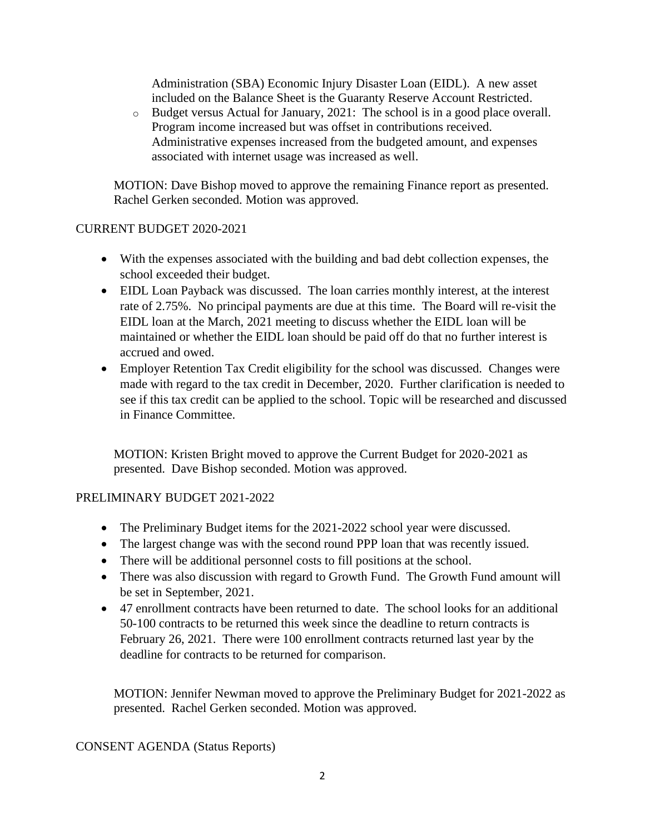Administration (SBA) Economic Injury Disaster Loan (EIDL). A new asset included on the Balance Sheet is the Guaranty Reserve Account Restricted.

o Budget versus Actual for January, 2021: The school is in a good place overall. Program income increased but was offset in contributions received. Administrative expenses increased from the budgeted amount, and expenses associated with internet usage was increased as well.

MOTION: Dave Bishop moved to approve the remaining Finance report as presented. Rachel Gerken seconded. Motion was approved.

### CURRENT BUDGET 2020-2021

- With the expenses associated with the building and bad debt collection expenses, the school exceeded their budget.
- EIDL Loan Payback was discussed. The loan carries monthly interest, at the interest rate of 2.75%. No principal payments are due at this time. The Board will re-visit the EIDL loan at the March, 2021 meeting to discuss whether the EIDL loan will be maintained or whether the EIDL loan should be paid off do that no further interest is accrued and owed.
- Employer Retention Tax Credit eligibility for the school was discussed. Changes were made with regard to the tax credit in December, 2020. Further clarification is needed to see if this tax credit can be applied to the school. Topic will be researched and discussed in Finance Committee.

MOTION: Kristen Bright moved to approve the Current Budget for 2020-2021 as presented. Dave Bishop seconded. Motion was approved.

## PRELIMINARY BUDGET 2021-2022

- The Preliminary Budget items for the 2021-2022 school year were discussed.
- The largest change was with the second round PPP loan that was recently issued.
- There will be additional personnel costs to fill positions at the school.
- There was also discussion with regard to Growth Fund. The Growth Fund amount will be set in September, 2021.
- 47 enrollment contracts have been returned to date. The school looks for an additional 50-100 contracts to be returned this week since the deadline to return contracts is February 26, 2021. There were 100 enrollment contracts returned last year by the deadline for contracts to be returned for comparison.

MOTION: Jennifer Newman moved to approve the Preliminary Budget for 2021-2022 as presented. Rachel Gerken seconded. Motion was approved.

## CONSENT AGENDA (Status Reports)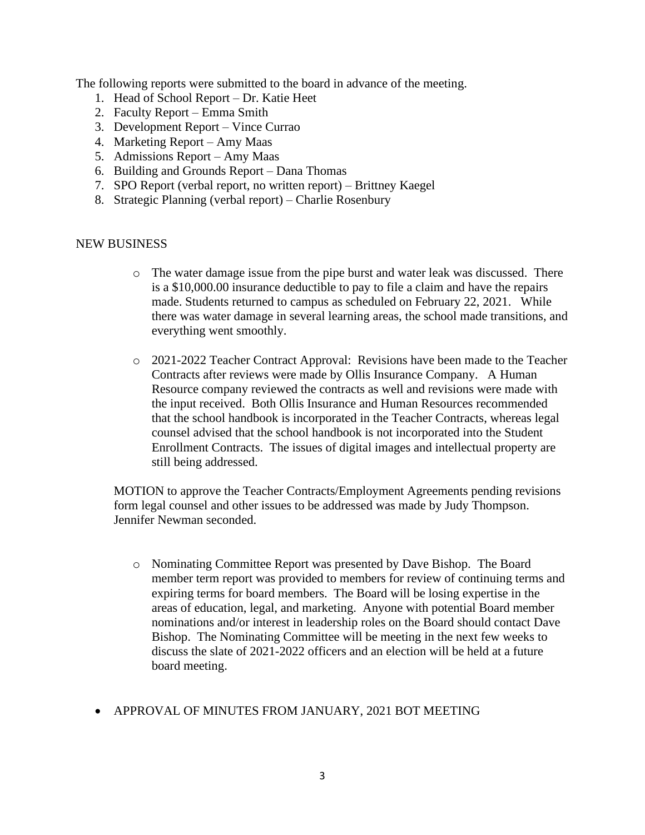The following reports were submitted to the board in advance of the meeting.

- 1. Head of School Report Dr. Katie Heet
- 2. Faculty Report Emma Smith
- 3. Development Report Vince Currao
- 4. Marketing Report Amy Maas
- 5. Admissions Report Amy Maas
- 6. Building and Grounds Report Dana Thomas
- 7. SPO Report (verbal report, no written report) Brittney Kaegel
- 8. Strategic Planning (verbal report) Charlie Rosenbury

#### NEW BUSINESS

- o The water damage issue from the pipe burst and water leak was discussed. There is a \$10,000.00 insurance deductible to pay to file a claim and have the repairs made. Students returned to campus as scheduled on February 22, 2021. While there was water damage in several learning areas, the school made transitions, and everything went smoothly.
- o 2021-2022 Teacher Contract Approval: Revisions have been made to the Teacher Contracts after reviews were made by Ollis Insurance Company. A Human Resource company reviewed the contracts as well and revisions were made with the input received. Both Ollis Insurance and Human Resources recommended that the school handbook is incorporated in the Teacher Contracts, whereas legal counsel advised that the school handbook is not incorporated into the Student Enrollment Contracts. The issues of digital images and intellectual property are still being addressed.

MOTION to approve the Teacher Contracts/Employment Agreements pending revisions form legal counsel and other issues to be addressed was made by Judy Thompson. Jennifer Newman seconded.

- o Nominating Committee Report was presented by Dave Bishop. The Board member term report was provided to members for review of continuing terms and expiring terms for board members. The Board will be losing expertise in the areas of education, legal, and marketing. Anyone with potential Board member nominations and/or interest in leadership roles on the Board should contact Dave Bishop. The Nominating Committee will be meeting in the next few weeks to discuss the slate of 2021-2022 officers and an election will be held at a future board meeting.
- APPROVAL OF MINUTES FROM JANUARY, 2021 BOT MEETING